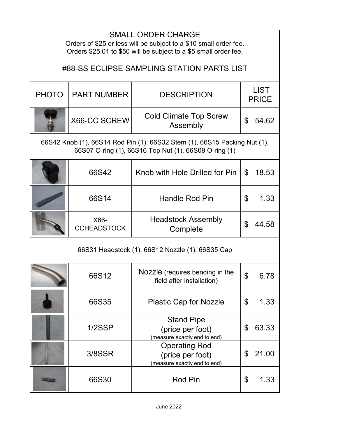| <b>SMALL ORDER CHARGE</b><br>Orders of \$25 or less will be subject to a \$10 small order fee.<br>Orders \$25.01 to \$50 will be subject to a \$5 small order fee. |                            |                                                                          |                             |       |
|--------------------------------------------------------------------------------------------------------------------------------------------------------------------|----------------------------|--------------------------------------------------------------------------|-----------------------------|-------|
| #88-SS ECLIPSE SAMPLING STATION PARTS LIST                                                                                                                         |                            |                                                                          |                             |       |
| <b>PHOTO</b>                                                                                                                                                       | <b>PART NUMBER</b>         | <b>DESCRIPTION</b>                                                       | <b>LIST</b><br><b>PRICE</b> |       |
|                                                                                                                                                                    | X66-CC SCREW               | <b>Cold Climate Top Screw</b><br>Assembly                                | \$                          | 54.62 |
| 66S42 Knob (1), 66S14 Rod Pin (1), 66S32 Stem (1), 66S15 Packing Nut (1),<br>66S07 O-ring (1), 66S16 Top Nut (1), 66S09 O-ring (1)                                 |                            |                                                                          |                             |       |
|                                                                                                                                                                    | 66S42                      | Knob with Hole Drilled for Pin                                           | $\mathfrak{L}$              | 18.53 |
|                                                                                                                                                                    | 66S14                      | <b>Handle Rod Pin</b>                                                    | \$                          | 1.33  |
|                                                                                                                                                                    | X66-<br><b>CCHEADSTOCK</b> | <b>Headstock Assembly</b><br>Complete                                    | \$                          | 44.58 |
| 66S31 Headstock (1), 66S12 Nozzle (1), 66S35 Cap                                                                                                                   |                            |                                                                          |                             |       |
|                                                                                                                                                                    | 66S12                      | Nozzle (requires bending in the<br>field after installation)             | ¢                           | 6.78  |
|                                                                                                                                                                    | 66S35                      | <b>Plastic Cap for Nozzle</b>                                            | \$                          | 1.33  |
|                                                                                                                                                                    | 1/2SSP                     | <b>Stand Pipe</b><br>(price per foot)<br>(measure exactly end to end)    | \$                          | 63.33 |
|                                                                                                                                                                    | 3/8SSR                     | <b>Operating Rod</b><br>(price per foot)<br>(measure exactly end to end) | \$                          | 21.00 |
|                                                                                                                                                                    | 66S30                      | <b>Rod Pin</b>                                                           | \$                          | 1.33  |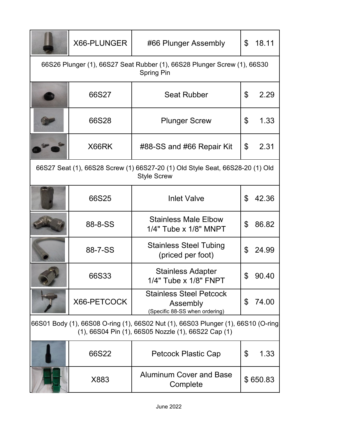|                                                                                                                                          | X66-PLUNGER | #66 Plunger Assembly                                                         | \$ | 18.11    |  |
|------------------------------------------------------------------------------------------------------------------------------------------|-------------|------------------------------------------------------------------------------|----|----------|--|
| 66S26 Plunger (1), 66S27 Seat Rubber (1), 66S28 Plunger Screw (1), 66S30<br><b>Spring Pin</b>                                            |             |                                                                              |    |          |  |
|                                                                                                                                          | 66S27       | <b>Seat Rubber</b>                                                           | \$ | 2.29     |  |
|                                                                                                                                          | 66S28       | <b>Plunger Screw</b>                                                         | \$ | 1.33     |  |
|                                                                                                                                          | X66RK       | #88-SS and #66 Repair Kit                                                    | \$ | 2.31     |  |
| 66S27 Seat (1), 66S28 Screw (1) 66S27-20 (1) Old Style Seat, 66S28-20 (1) Old<br><b>Style Screw</b>                                      |             |                                                                              |    |          |  |
|                                                                                                                                          | 66S25       | <b>Inlet Valve</b>                                                           | \$ | 42.36    |  |
|                                                                                                                                          | 88-8-SS     | <b>Stainless Male Elbow</b><br>$1/4"$ Tube x $1/8"$ MNPT                     | \$ | 86.82    |  |
|                                                                                                                                          | 88-7-SS     | <b>Stainless Steel Tubing</b><br>(priced per foot)                           | \$ | 24.99    |  |
|                                                                                                                                          | 66S33       | <b>Stainless Adapter</b><br>1/4" Tube x 1/8" FNPT                            | \$ | 90.40    |  |
|                                                                                                                                          | X66-PETCOCK | <b>Stainless Steel Petcock</b><br>Assembly<br>(Specific 88-SS when ordering) | \$ | 74.00    |  |
| 66S01 Body (1), 66S08 O-ring (1), 66S02 Nut (1), 66S03 Plunger (1), 66S10 (O-ring<br>(1), 66S04 Pin (1), 66S05 Nozzle (1), 66S22 Cap (1) |             |                                                                              |    |          |  |
|                                                                                                                                          | 66S22       | <b>Petcock Plastic Cap</b>                                                   | \$ | 1.33     |  |
|                                                                                                                                          | X883        | <b>Aluminum Cover and Base</b><br>Complete                                   |    | \$650.83 |  |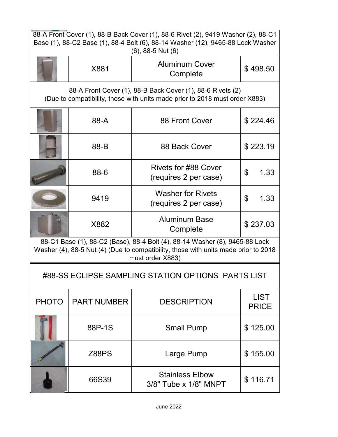| 88-A Front Cover (1), 88-B Back Cover (1), 88-6 Rivet (2), 9419 Washer (2), 88-C1<br>Base (1), 88-C2 Base (1), 88-4 Bolt (6), 88-14 Washer (12), 9465-88 Lock Washer                   |                    |                                                      |                             |  |  |
|----------------------------------------------------------------------------------------------------------------------------------------------------------------------------------------|--------------------|------------------------------------------------------|-----------------------------|--|--|
|                                                                                                                                                                                        |                    | $(6)$ , 88-5 Nut $(6)$                               |                             |  |  |
|                                                                                                                                                                                        | X881               | <b>Aluminum Cover</b><br>Complete                    | \$498.50                    |  |  |
| 88-A Front Cover (1), 88-B Back Cover (1), 88-6 Rivets (2)<br>(Due to compatibility, those with units made prior to 2018 must order X883)                                              |                    |                                                      |                             |  |  |
|                                                                                                                                                                                        | 88-A               | 88 Front Cover                                       | \$224.46                    |  |  |
|                                                                                                                                                                                        | 88-B               | 88 Back Cover                                        | \$223.19                    |  |  |
|                                                                                                                                                                                        | 88-6               | <b>Rivets for #88 Cover</b><br>(requires 2 per case) | \$<br>1.33                  |  |  |
|                                                                                                                                                                                        | 9419               | <b>Washer for Rivets</b><br>(requires 2 per case)    | \$<br>1.33                  |  |  |
|                                                                                                                                                                                        | X882               | <b>Aluminum Base</b><br>Complete                     | \$237.03                    |  |  |
| 88-C1 Base (1), 88-C2 (Base), 88-4 Bolt (4), 88-14 Washer (8), 9465-88 Lock<br>Washer (4), 88-5 Nut (4) (Due to compatibility, those with units made prior to 2018<br>must order X883) |                    |                                                      |                             |  |  |
| #88-SS ECLIPSE SAMPLING STATION OPTIONS PARTS LIST                                                                                                                                     |                    |                                                      |                             |  |  |
| <b>PHOTO</b>                                                                                                                                                                           | <b>PART NUMBER</b> | <b>DESCRIPTION</b>                                   | <b>LIST</b><br><b>PRICE</b> |  |  |
|                                                                                                                                                                                        | 88P-1S             | <b>Small Pump</b>                                    | \$125.00                    |  |  |
|                                                                                                                                                                                        | Z88PS              | Large Pump                                           | \$155.00                    |  |  |
|                                                                                                                                                                                        | 66S39              | <b>Stainless Elbow</b><br>3/8" Tube x 1/8" MNPT      | \$116.71                    |  |  |